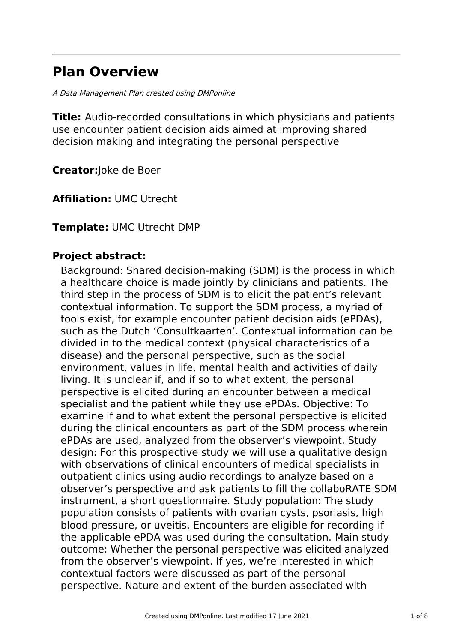# **Plan Overview**

A Data Management Plan created using DMPonline

**Title:** Audio-recorded consultations in which physicians and patients use encounter patient decision aids aimed at improving shared decision making and integrating the personal perspective

**Creator:**Joke de Boer

**Affiliation:** UMC Utrecht

### **Template:** UMC Utrecht DMP

### **Project abstract:**

Background: Shared decision-making (SDM) is the process in which a healthcare choice is made jointly by clinicians and patients. The third step in the process of SDM is to elicit the patient's relevant contextual information. To support the SDM process, a myriad of tools exist, for example encounter patient decision aids (ePDAs), such as the Dutch 'Consultkaarten'. Contextual information can be divided in to the medical context (physical characteristics of a disease) and the personal perspective, such as the social environment, values in life, mental health and activities of daily living. It is unclear if, and if so to what extent, the personal perspective is elicited during an encounter between a medical specialist and the patient while they use ePDAs. Objective: To examine if and to what extent the personal perspective is elicited during the clinical encounters as part of the SDM process wherein ePDAs are used, analyzed from the observer's viewpoint. Study design: For this prospective study we will use a qualitative design with observations of clinical encounters of medical specialists in outpatient clinics using audio recordings to analyze based on a observer's perspective and ask patients to fill the collaboRATE SDM instrument, a short questionnaire. Study population: The study population consists of patients with ovarian cysts, psoriasis, high blood pressure, or uveitis. Encounters are eligible for recording if the applicable ePDA was used during the consultation. Main study outcome: Whether the personal perspective was elicited analyzed from the observer's viewpoint. If yes, we're interested in which contextual factors were discussed as part of the personal perspective. Nature and extent of the burden associated with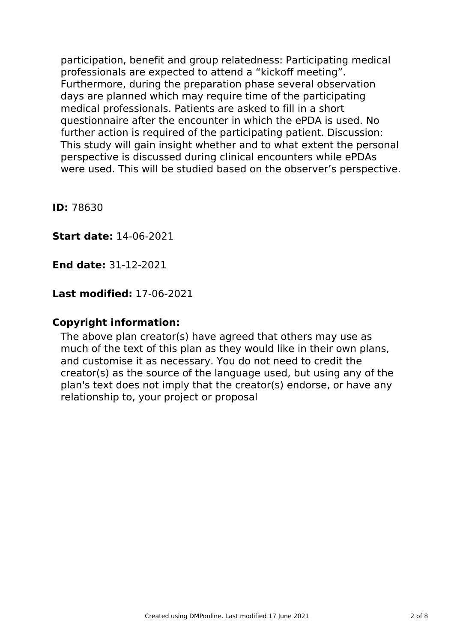participation, benefit and group relatedness: Participating medical professionals are expected to attend a "kickoff meeting". Furthermore, during the preparation phase several observation days are planned which may require time of the participating medical professionals. Patients are asked to fill in a short questionnaire after the encounter in which the ePDA is used. No further action is required of the participating patient. Discussion: This study will gain insight whether and to what extent the personal perspective is discussed during clinical encounters while ePDAs were used. This will be studied based on the observer's perspective.

**ID:** 78630

**Start date:** 14-06-2021

**End date:** 31-12-2021

## **Last modified:** 17-06-2021

### **Copyright information:**

The above plan creator(s) have agreed that others may use as much of the text of this plan as they would like in their own plans, and customise it as necessary. You do not need to credit the creator(s) as the source of the language used, but using any of the plan's text does not imply that the creator(s) endorse, or have any relationship to, your project or proposal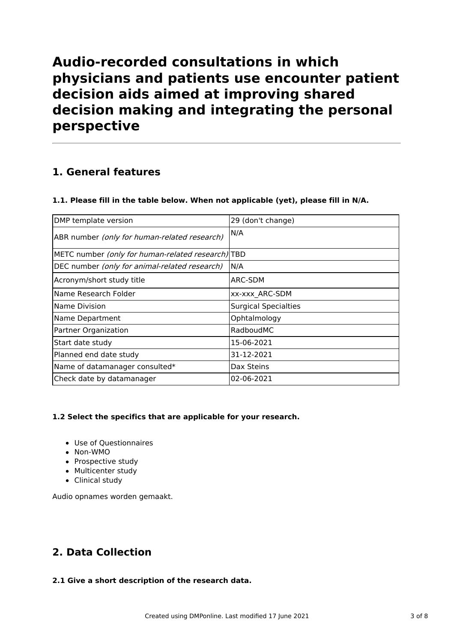# **Audio-recorded consultations in which physicians and patients use encounter patient decision aids aimed at improving shared decision making and integrating the personal perspective**

# **1. General features**

#### **1.1. Please fill in the table below. When not applicable (yet), please fill in N/A.**

| DMP template version                                      | 29 (don't change)           |
|-----------------------------------------------------------|-----------------------------|
| ABR number (only for human-related research)              | N/A                         |
| METC number <i>(only for human-related research)</i>  TBD |                             |
| DEC number (only for animal-related research)             | N/A                         |
| Acronym/short study title                                 | ARC-SDM                     |
| Name Research Folder                                      | <b>xx-xxx ARC-SDM</b>       |
| Name Division                                             | <b>Surgical Specialties</b> |
| Name Department                                           | Ophtalmology                |
| Partner Organization                                      | RadboudMC                   |
| Start date study                                          | 15-06-2021                  |
| Planned end date study                                    | 31-12-2021                  |
| Name of datamanager consulted*                            | Dax Steins                  |
| Check date by datamanager                                 | 02-06-2021                  |

#### **1.2 Select the specifics that are applicable for your research.**

- Use of Questionnaires
- Non-WMO
- Prospective study
- Multicenter study
- Clinical study

Audio opnames worden gemaakt.

# **2. Data Collection**

#### **2.1 Give a short description of the research data.**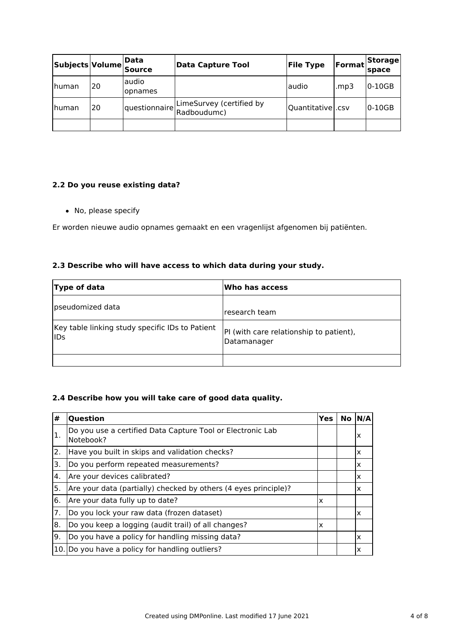| Subjects Volume Data |    | <b>Source</b>    | <b>Data Capture Tool</b>                | <b>File Type</b>    | Format | Storage<br>space |
|----------------------|----|------------------|-----------------------------------------|---------------------|--------|------------------|
| Ihuman               | 20 | audio<br>opnames |                                         | laudio              | mp3.   | $0-10GB$         |
| Ihuman               | 20 | questionnaire    | LimeSurvey (certified by<br>Radboudumc) | Quantitative   .csv |        | $0-10GB$         |
|                      |    |                  |                                         |                     |        |                  |

#### **2.2 Do you reuse existing data?**

No, please specify

Er worden nieuwe audio opnames gemaakt en een vragenlijst afgenomen bij patiënten.

### **2.3 Describe who will have access to which data during your study.**

| Type of data                                                  | Who has access                                         |
|---------------------------------------------------------------|--------------------------------------------------------|
| pseudomized data                                              | lresearch team                                         |
| Key table linking study specific IDs to Patient<br><b>IDs</b> | PI (with care relationship to patient),<br>Datamanager |
|                                                               |                                                        |

### **2.4 Describe how you will take care of good data quality.**

| #   | <b>Question</b>                                                         | Yes                       | $No$ $N/A$ |
|-----|-------------------------------------------------------------------------|---------------------------|------------|
| Ι.  | Do you use a certified Data Capture Tool or Electronic Lab<br>Notebook? |                           | ΙX         |
| 2.  | Have you built in skips and validation checks?                          |                           | x          |
| 3.  | Do you perform repeated measurements?                                   |                           | x          |
| 4.  | Are your devices calibrated?                                            |                           | X          |
| 5.  | Are your data (partially) checked by others (4 eyes principle)?         |                           | x          |
| 6.  | Are your data fully up to date?                                         | $\boldsymbol{\mathsf{x}}$ |            |
| 7.  | Do you lock your raw data (frozen dataset)                              |                           | x          |
| 8.  | Do you keep a logging (audit trail) of all changes?                     | ΙX                        |            |
| Ι9. | Do you have a policy for handling missing data?                         |                           | x          |
|     | 10. Do you have a policy for handling outliers?                         |                           | х          |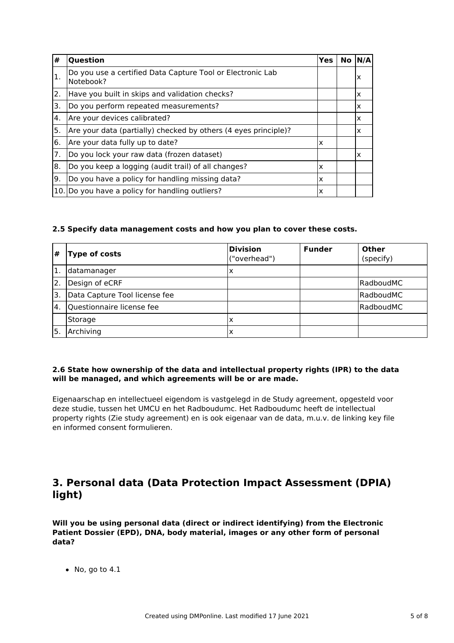| #   | Question                                                                | <b>Yes</b> | No. | N/A |
|-----|-------------------------------------------------------------------------|------------|-----|-----|
| 1.  | Do you use a certified Data Capture Tool or Electronic Lab<br>Notebook? |            |     | ΙX  |
| 2.  | Have you built in skips and validation checks?                          |            |     | X   |
| 3.  | Do you perform repeated measurements?                                   |            |     | X   |
| 4.  | Are your devices calibrated?                                            |            |     | X   |
| 5.  | Are your data (partially) checked by others (4 eyes principle)?         |            |     | X   |
| 6.  | Are your data fully up to date?                                         | Ιx         |     |     |
| 7.  | Do you lock your raw data (frozen dataset)                              |            |     | ΙX  |
| 8.  | Do you keep a logging (audit trail) of all changes?                     | ΙX         |     |     |
| Ι9. | Do you have a policy for handling missing data?                         | Ιx         |     |     |
|     | 10. Do you have a policy for handling outliers?                         | ΙX         |     |     |

#### **2.5 Specify data management costs and how you plan to cover these costs.**

| #                | <b>Type of costs</b>          | <b>Division</b><br>("overhead") | <b>Funder</b> | Other<br>(specify) |
|------------------|-------------------------------|---------------------------------|---------------|--------------------|
| 1.               | Idatamanager                  | x                               |               |                    |
| 2.               | Design of eCRF                |                                 |               | lRadboudMC         |
| '3.              | Data Capture Tool license fee |                                 |               | RadboudMC          |
| $\overline{4}$ . | Questionnaire license fee     |                                 |               | RadboudMC          |
|                  | Storage                       | x                               |               |                    |
| '5.              | Archiving                     | x                               |               |                    |

#### **2.6 State how ownership of the data and intellectual property rights (IPR) to the data will be managed, and which agreements will be or are made.**

Eigenaarschap en intellectueel eigendom is vastgelegd in de Study agreement, opgesteld voor deze studie, tussen het UMCU en het Radboudumc. Het Radboudumc heeft de intellectual property rights (Zie study agreement) en is ook eigenaar van de data, m.u.v. de linking key file en informed consent formulieren.

## **3. Personal data (Data Protection Impact Assessment (DPIA) light)**

**Will you be using personal data (direct or indirect identifying) from the Electronic Patient Dossier (EPD), DNA, body material, images or any other form of personal data?**

 $\bullet$  No, go to 4.1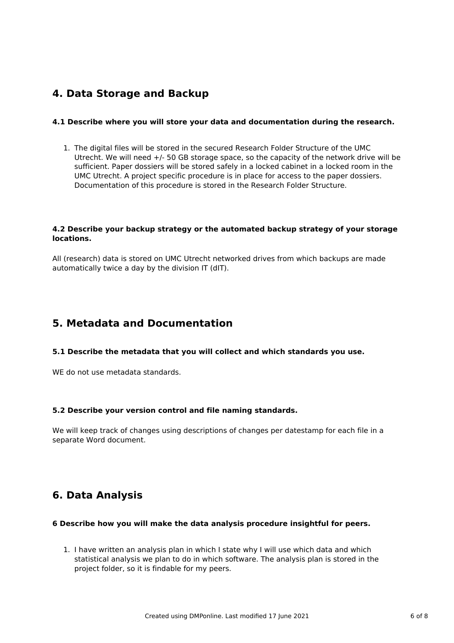### **4. Data Storage and Backup**

#### **4.1 Describe where you will store your data and documentation during the research.**

1. The digital files will be stored in the secured Research Folder Structure of the UMC Utrecht. We will need +/- 50 GB storage space, so the capacity of the network drive will be sufficient. Paper dossiers will be stored safely in a locked cabinet in a locked room in the UMC Utrecht. A project specific procedure is in place for access to the paper dossiers. Documentation of this procedure is stored in the Research Folder Structure.

#### **4.2 Describe your backup strategy or the automated backup strategy of your storage locations.**

All (research) data is stored on UMC Utrecht networked drives from which backups are made automatically twice a day by the division IT (dIT).

## **5. Metadata and Documentation**

#### **5.1 Describe the metadata that you will collect and which standards you use.**

WE do not use metadata standards.

#### **5.2 Describe your version control and file naming standards.**

We will keep track of changes using descriptions of changes per datestamp for each file in a separate Word document.

# **6. Data Analysis**

#### **6 Describe how you will make the data analysis procedure insightful for peers.**

1. I have written an analysis plan in which I state why I will use which data and which statistical analysis we plan to do in which software. The analysis plan is stored in the project folder, so it is findable for my peers.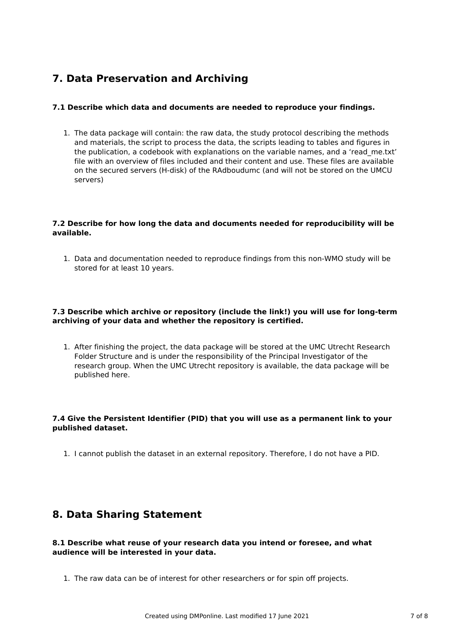# **7. Data Preservation and Archiving**

#### **7.1 Describe which data and documents are needed to reproduce your findings.**

1. The data package will contain: the raw data, the study protocol describing the methods and materials, the script to process the data, the scripts leading to tables and figures in the publication, a codebook with explanations on the variable names, and a 'read\_me.txt' file with an overview of files included and their content and use. These files are available on the secured servers (H-disk) of the RAdboudumc (and will not be stored on the UMCU servers)

#### **7.2 Describe for how long the data and documents needed for reproducibility will be available.**

1. Data and documentation needed to reproduce findings from this non-WMO study will be stored for at least 10 years.

#### **7.3 Describe which archive or repository (include the link!) you will use for long-term archiving of your data and whether the repository is certified.**

1. After finishing the project, the data package will be stored at the UMC Utrecht Research Folder Structure and is under the responsibility of the Principal Investigator of the research group. When the UMC Utrecht repository is available, the data package will be published here.

#### **7.4 Give the Persistent Identifier (PID) that you will use as a permanent link to your published dataset.**

1. I cannot publish the dataset in an external repository. Therefore, I do not have a PID.

### **8. Data Sharing Statement**

#### **8.1 Describe what reuse of your research data you intend or foresee, and what audience will be interested in your data.**

1. The raw data can be of interest for other researchers or for spin off projects.